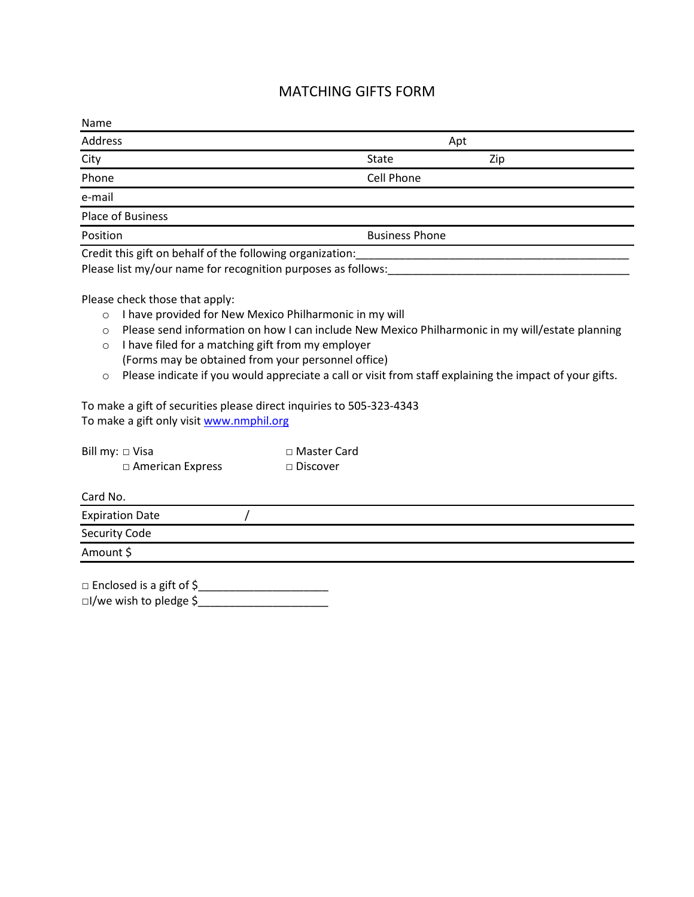## MATCHING GIFTS FORM

| Name                                                         |                       |     |  |
|--------------------------------------------------------------|-----------------------|-----|--|
| Address                                                      | Apt                   |     |  |
| City                                                         | State                 | Zip |  |
| Phone                                                        | Cell Phone            |     |  |
| e-mail                                                       |                       |     |  |
| Place of Business                                            |                       |     |  |
| Position                                                     | <b>Business Phone</b> |     |  |
| Credit this gift on behalf of the following organization:    |                       |     |  |
| Please list my/our name for recognition purposes as follows: |                       |     |  |

Please check those that apply:

- o I have provided for New Mexico Philharmonic in my will
- o Please send information on how I can include New Mexico Philharmonic in my will/estate planning
- o I have filed for a matching gift from my employer (Forms may be obtained from your personnel office)
- o Please indicate if you would appreciate a call or visit from staff explaining the impact of your gifts.

To make a gift of securities please direct inquiries to 505-323-4343 To make a gift only visi[t www.nmphil.org](http://www.nmphil.org/)

| Bill my: $\Box$ Visa    | □ Master Card   |
|-------------------------|-----------------|
| $\Box$ American Express | $\Box$ Discover |

Card No.

| <b>Expiration Date</b> |  |
|------------------------|--|
| Security Code          |  |
| Amount \$              |  |

□ Enclosed is a gift of \$\_\_\_\_\_\_\_\_\_\_\_\_\_\_\_\_\_\_\_\_\_ □I/we wish to pledge \$<br>
————————————————————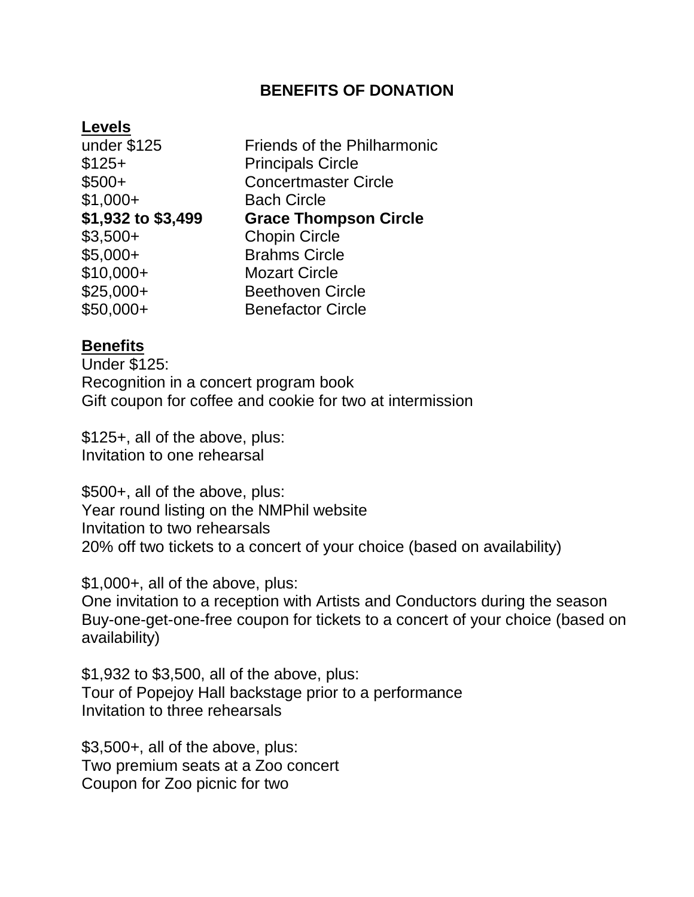## **BENEFITS OF DONATION**

## **Levels**

| under \$125        | <b>Friends of the Philharmonic</b> |
|--------------------|------------------------------------|
| $$125+$            | <b>Principals Circle</b>           |
| $$500+$            | <b>Concertmaster Circle</b>        |
| $$1,000+$          | <b>Bach Circle</b>                 |
| \$1,932 to \$3,499 | <b>Grace Thompson Circle</b>       |
| $$3,500+$          | <b>Chopin Circle</b>               |
| $$5,000+$          | <b>Brahms Circle</b>               |
| $$10,000+$         | <b>Mozart Circle</b>               |
| $$25,000+$         | <b>Beethoven Circle</b>            |
| \$50,000+          | <b>Benefactor Circle</b>           |
|                    |                                    |

## **Benefits**

Under \$125: Recognition in a concert program book Gift coupon for coffee and cookie for two at intermission

\$125+, all of the above, plus: Invitation to one rehearsal

\$500+, all of the above, plus: Year round listing on the NMPhil website Invitation to two rehearsals 20% off two tickets to a concert of your choice (based on availability)

\$1,000+, all of the above, plus:

One invitation to a reception with Artists and Conductors during the season Buy-one-get-one-free coupon for tickets to a concert of your choice (based on availability)

\$1,932 to \$3,500, all of the above, plus: Tour of Popejoy Hall backstage prior to a performance Invitation to three rehearsals

\$3,500+, all of the above, plus: Two premium seats at a Zoo concert Coupon for Zoo picnic for two